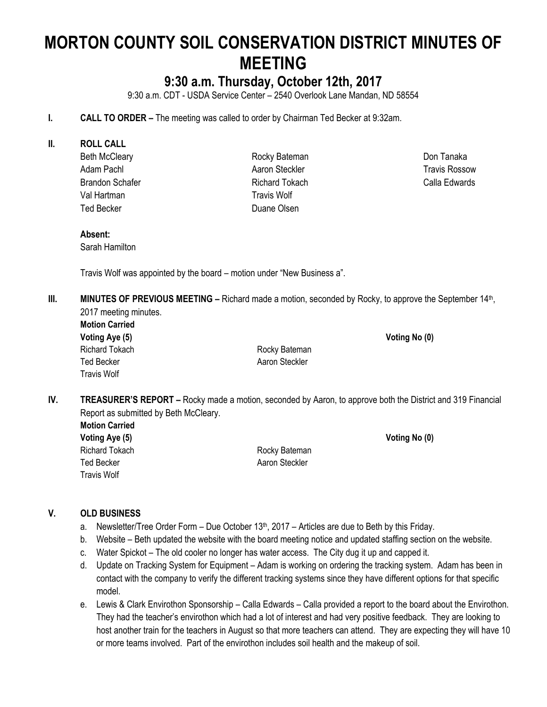# **MORTON COUNTY SOIL CONSERVATION DISTRICT MINUTES OF MEETING**

# **9:30 a.m. Thursday, October 12th, 2017**

9:30 a.m. CDT - USDA Service Center – 2540 Overlook Lane Mandan, ND 58554

- **I. CALL TO ORDER –** The meeting was called to order by Chairman Ted Becker at 9:32am.
- **II. ROLL CALL**
	- Beth McCleary Adam Pachl Brandon Schafer Val Hartman Ted Becker

Rocky Bateman Aaron Steckler Richard Tokach Travis Wolf Duane Olsen

Don Tanaka Travis Rossow Calla Edwards

# **Absent:**

Sarah Hamilton

Travis Wolf was appointed by the board – motion under "New Business a".

- III. **MINUTES OF PREVIOUS MEETING** Richard made a motion, seconded by Rocky, to approve the September 14<sup>th</sup>, 2017 meeting minutes.
	- **Motion Carried Voting Aye (5) Voting No (0)** Ted Becker **Aaron Steckler** Aaron Steckler Travis Wolf

Richard Tokach **Richard Tokach** Rocky Bateman

**IV. TREASURER'S REPORT –** Rocky made a motion, seconded by Aaron, to approve both the District and 319 Financial Report as submitted by Beth McCleary.

**Motion Carried Voting Aye (5) Voting No (0)** Richard Tokach **Richard Tokach Rocky Bateman** Ted Becker **Accord Contract Contract Contract Contract Contract Contract Contract Contract Contract Contract Contract Contract Contract Contract Contract Contract Contract Contract Contract Contract Contract Contract Contr** Travis Wolf

## **V. OLD BUSINESS**

- a. Newsletter/Tree Order Form Due October  $13<sup>th</sup>$ , 2017 Articles are due to Beth by this Friday.
- b. Website Beth updated the website with the board meeting notice and updated staffing section on the website.
- c. Water Spickot The old cooler no longer has water access. The City dug it up and capped it.
- d. Update on Tracking System for Equipment Adam is working on ordering the tracking system. Adam has been in contact with the company to verify the different tracking systems since they have different options for that specific model.
- e. Lewis & Clark Envirothon Sponsorship Calla Edwards Calla provided a report to the board about the Envirothon. They had the teacher's envirothon which had a lot of interest and had very positive feedback. They are looking to host another train for the teachers in August so that more teachers can attend. They are expecting they will have 10 or more teams involved. Part of the envirothon includes soil health and the makeup of soil.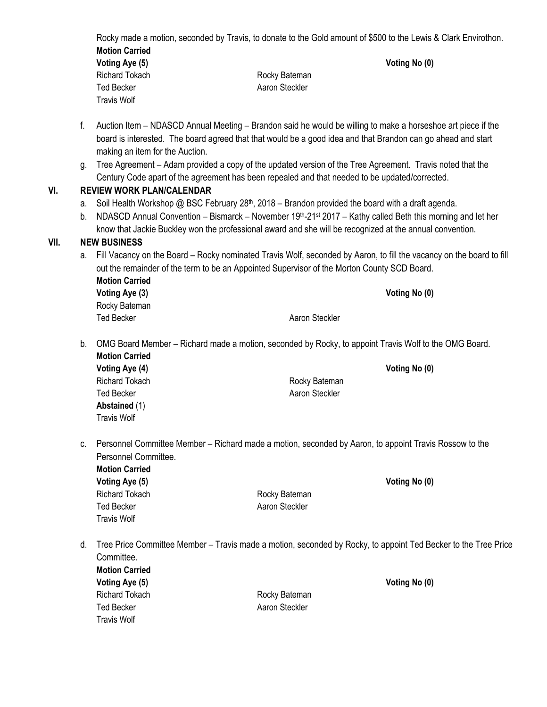Rocky made a motion, seconded by Travis, to donate to the Gold amount of \$500 to the Lewis & Clark Envirothon. **Motion Carried Voting Aye (5) Voting No (0)** Richard Tokach **Richard Tokach Rocky Bateman** Ted Becker **Aaron Steckler** Aaron Steckler Travis Wolf

- f. Auction Item NDASCD Annual Meeting Brandon said he would be willing to make a horseshoe art piece if the board is interested. The board agreed that that would be a good idea and that Brandon can go ahead and start making an item for the Auction.
- g. Tree Agreement Adam provided a copy of the updated version of the Tree Agreement. Travis noted that the Century Code apart of the agreement has been repealed and that needed to be updated/corrected.

## **VI. REVIEW WORK PLAN/CALENDAR**

- a. Soil Health Workshop @ BSC February  $28<sup>th</sup>$ , 2018 Brandon provided the board with a draft agenda.
- b. NDASCD Annual Convention Bismarck November 19<sup>th</sup>-21<sup>st</sup> 2017 Kathy called Beth this morning and let her know that Jackie Buckley won the professional award and she will be recognized at the annual convention.

# **VII. NEW BUSINESS**

- a. Fill Vacancy on the Board Rocky nominated Travis Wolf, seconded by Aaron, to fill the vacancy on the board to fill out the remainder of the term to be an Appointed Supervisor of the Morton County SCD Board. **Motion Carried Voting Aye (3) Voting No (0)** Rocky Bateman Ted Becker **Aaron Steckler** Aaron Steckler
- b. OMG Board Member Richard made a motion, seconded by Rocky, to appoint Travis Wolf to the OMG Board. **Motion Carried**

| Voting Aye (4)     |                | Voting No (0) |
|--------------------|----------------|---------------|
| Richard Tokach     | Rocky Bateman  |               |
| Ted Becker         | Aaron Steckler |               |
| Abstained (1)      |                |               |
| <b>Travis Wolf</b> |                |               |

c. Personnel Committee Member – Richard made a motion, seconded by Aaron, to appoint Travis Rossow to the Personnel Committee.

**Motion Carried Voting Aye (5) Voting No (0)** Richard Tokach **Richard Tokach Rocky Bateman** Ted Becker **Aaron Steckler** Aaron Steckler Travis Wolf

Travis Wolf

d. Tree Price Committee Member – Travis made a motion, seconded by Rocky, to appoint Ted Becker to the Tree Price Committee. **Motion Carried Voting Aye (5) Voting No (0)**

Richard Tokach **Richard Tokach** Rocky Bateman Ted Becker **Aaron Steckler** Aaron Steckler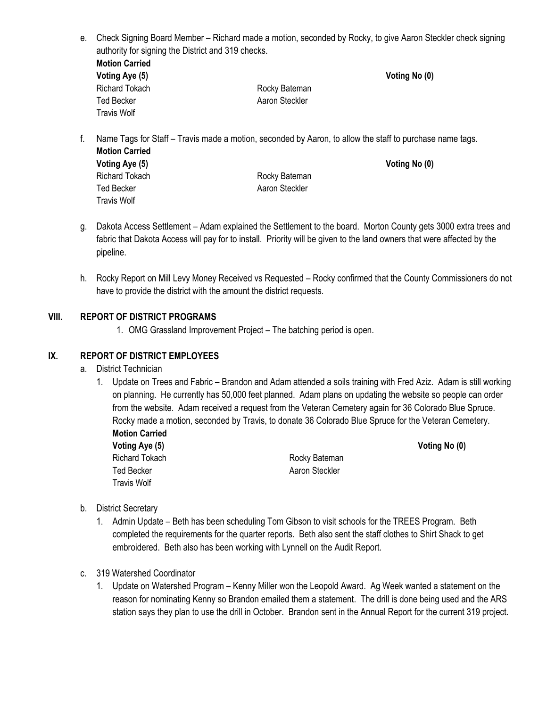- e. Check Signing Board Member Richard made a motion, seconded by Rocky, to give Aaron Steckler check signing authority for signing the District and 319 checks. **Motion Carried Voting Aye (5) Voting No (0)** Richard Tokach **Richard Tokach** Rocky Bateman Ted Becker **Aaron Steckler** Aaron Steckler Travis Wolf
- f. Name Tags for Staff Travis made a motion, seconded by Aaron, to allow the staff to purchase name tags. **Motion Carried Voting Aye (5) Voting No (0)** Richard Tokach **Richard Tokach Rocky Bateman** Ted Becker **Aaron Steckler** Aaron Steckler Travis Wolf
- g. Dakota Access Settlement Adam explained the Settlement to the board. Morton County gets 3000 extra trees and fabric that Dakota Access will pay for to install. Priority will be given to the land owners that were affected by the pipeline.
- h. Rocky Report on Mill Levy Money Received vs Requested Rocky confirmed that the County Commissioners do not have to provide the district with the amount the district requests.

# **VIII. REPORT OF DISTRICT PROGRAMS**

1. OMG Grassland Improvement Project – The batching period is open.

## **IX. REPORT OF DISTRICT EMPLOYEES**

- a. District Technician
	- 1. Update on Trees and Fabric Brandon and Adam attended a soils training with Fred Aziz. Adam is still working on planning. He currently has 50,000 feet planned. Adam plans on updating the website so people can order from the website. Adam received a request from the Veteran Cemetery again for 36 Colorado Blue Spruce. Rocky made a motion, seconded by Travis, to donate 36 Colorado Blue Spruce for the Veteran Cemetery. **Motion Carried**

| <b>IVIULIUII VAIIIEU</b> |                |
|--------------------------|----------------|
| Voting Aye (5)           |                |
| Richard Tokach           | Rocky Bateman  |
| Ted Becker               | Aaron Steckler |
| Travis Wolf              |                |

**Voting No (0)** 

- b. District Secretary
	- 1. Admin Update Beth has been scheduling Tom Gibson to visit schools for the TREES Program. Beth completed the requirements for the quarter reports. Beth also sent the staff clothes to Shirt Shack to get embroidered. Beth also has been working with Lynnell on the Audit Report.
- c. 319 Watershed Coordinator
	- 1. Update on Watershed Program Kenny Miller won the Leopold Award. Ag Week wanted a statement on the reason for nominating Kenny so Brandon emailed them a statement. The drill is done being used and the ARS station says they plan to use the drill in October. Brandon sent in the Annual Report for the current 319 project.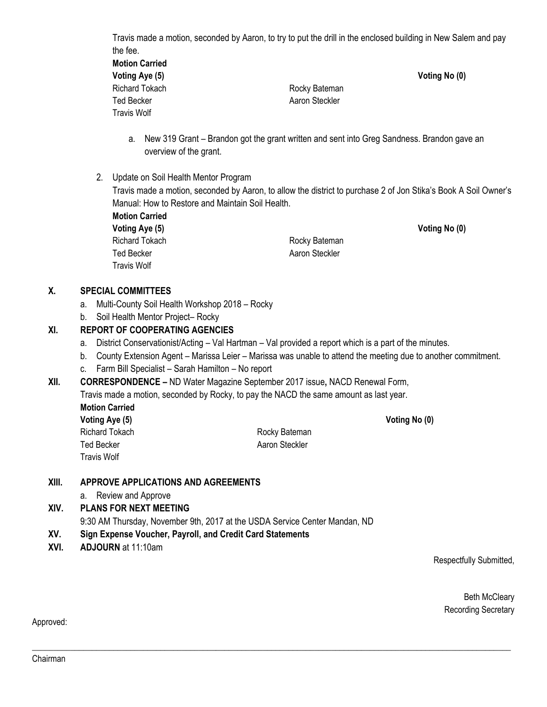Travis made a motion, seconded by Aaron, to try to put the drill in the enclosed building in New Salem and pay the fee.

| <b>Motion Carried</b> |                |               |
|-----------------------|----------------|---------------|
| Voting Aye (5)        |                | Voting No (0) |
| Richard Tokach        | Rocky Bateman  |               |
| Ted Becker            | Aaron Steckler |               |
| Travis Wolf           |                |               |

- a. New 319 Grant Brandon got the grant written and sent into Greg Sandness. Brandon gave an overview of the grant.
- 2. Update on Soil Health Mentor Program

Travis made a motion, seconded by Aaron, to allow the district to purchase 2 of Jon Stika's Book A Soil Owner's Manual: How to Restore and Maintain Soil Health.

**Motion Carried Voting Aye (5) Voting No (0)** Ted Becker **Aaron Steckler** Aaron Steckler Travis Wolf

Richard Tokach **Richard Tokach** Rocky Bateman

**Voting Aye (5) Voting No (0)**

# **X. SPECIAL COMMITTEES**

- a. Multi-County Soil Health Workshop 2018 Rocky
- b. Soil Health Mentor Project– Rocky

## **XI. REPORT OF COOPERATING AGENCIES**

- a. District Conservationist/Acting Val Hartman Val provided a report which is a part of the minutes.
- b. County Extension Agent Marissa Leier Marissa was unable to attend the meeting due to another commitment.
- c. Farm Bill Specialist Sarah Hamilton No report

**XII. CORRESPONDENCE –** ND Water Magazine September 2017 issue**,** NACD Renewal Form,

Travis made a motion, seconded by Rocky, to pay the NACD the same amount as last year. **Motion Carried**

| wotion Carried  |                |
|-----------------|----------------|
| Voting Aye (5)  |                |
| Richard Tokach. | Rocky Batemar  |
| Ted Becker      | Aaron Steckler |

\_\_\_\_\_\_\_\_\_\_\_\_\_\_\_\_\_\_\_\_\_\_\_\_\_\_\_\_\_\_\_\_\_\_\_\_\_\_\_\_\_\_\_\_\_\_\_\_\_\_\_\_\_\_\_\_\_\_\_\_\_\_\_\_\_\_\_\_\_\_\_\_\_\_\_\_\_\_\_\_\_\_\_\_\_\_\_\_\_\_\_\_\_\_\_\_\_\_\_\_\_\_\_\_\_\_\_\_\_\_\_\_

Rocky Bateman

# **XIII. APPROVE APPLICATIONS AND AGREEMENTS**

a. Review and Approve

## **XIV. PLANS FOR NEXT MEETING**

9:30 AM Thursday, November 9th, 2017 at the USDA Service Center Mandan, ND

- **XV. Sign Expense Voucher, Payroll, and Credit Card Statements**
- **XVI. ADJOURN** at 11:10am

Travis Wolf

Respectfully Submitted,

Beth McCleary Recording Secretary

Approved: